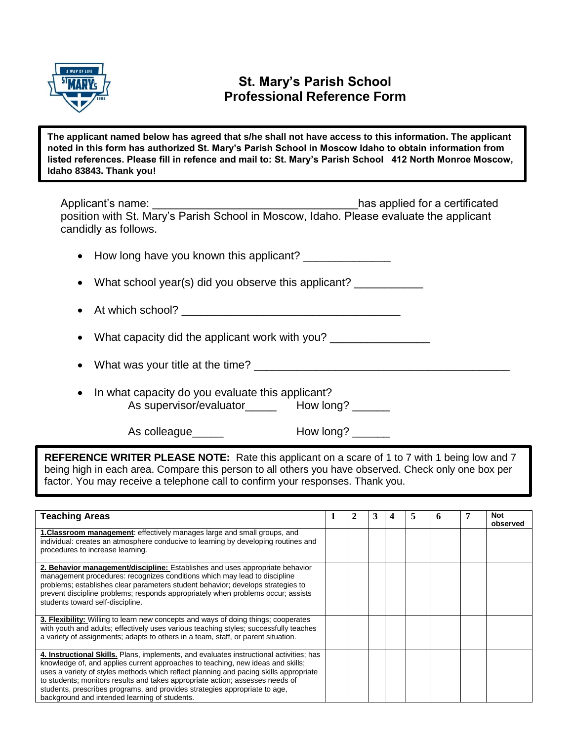

## **St. Mary's Parish School Professional Reference Form**

**The applicant named below has agreed that s/he shall not have access to this information. The applicant noted in this form has authorized St. Mary's Parish School in Moscow Idaho to obtain information from listed references. Please fill in refence and mail to: St. Mary's Parish School 412 North Monroe Moscow, Idaho 83843. Thank you!**

Applicant's name:  $\blacksquare$ position with St. Mary's Parish School in Moscow, Idaho. Please evaluate the applicant candidly as follows.

• How long have you known this applicant? \_\_\_\_\_\_\_\_\_\_\_\_\_\_

• What school year(s) did you observe this applicant? \_\_\_\_\_\_\_\_\_\_\_\_\_\_\_\_\_\_\_\_\_\_\_\_\_\_

At which school?

• What capacity did the applicant work with you?

• What was your title at the time? \_\_\_\_\_\_\_\_\_\_\_\_\_\_\_\_\_\_\_\_\_\_\_\_\_\_\_\_\_\_\_\_\_\_\_\_\_\_\_\_\_

• In what capacity do you evaluate this applicant? As supervisor/evaluator\_\_\_\_\_\_\_\_ How long? \_\_\_\_\_\_

As colleague extending the How long?

**REFERENCE WRITER PLEASE NOTE:** Rate this applicant on a scare of 1 to 7 with 1 being low and 7 being high in each area. Compare this person to all others you have observed. Check only one box per factor. You may receive a telephone call to confirm your responses. Thank you.

| <b>Teaching Areas</b>                                                                                                                                                                                                                                                                                                                                                                                                                                                               |  | 3 | 5 | O | Not<br>observed |
|-------------------------------------------------------------------------------------------------------------------------------------------------------------------------------------------------------------------------------------------------------------------------------------------------------------------------------------------------------------------------------------------------------------------------------------------------------------------------------------|--|---|---|---|-----------------|
| <b>1. Classroom management:</b> effectively manages large and small groups, and<br>individual: creates an atmosphere conducive to learning by developing routines and<br>procedures to increase learning.                                                                                                                                                                                                                                                                           |  |   |   |   |                 |
| 2. Behavior management/discipline: Establishes and uses appropriate behavior<br>management procedures: recognizes conditions which may lead to discipline<br>problems; establishes clear parameters student behavior; develops strategies to<br>prevent discipline problems; responds appropriately when problems occur; assists<br>students toward self-discipline.                                                                                                                |  |   |   |   |                 |
| 3. Flexibility: Willing to learn new concepts and ways of doing things; cooperates<br>with youth and adults; effectively uses various teaching styles; successfully teaches<br>a variety of assignments; adapts to others in a team, staff, or parent situation.                                                                                                                                                                                                                    |  |   |   |   |                 |
| 4. Instructional Skills. Plans, implements, and evaluates instructional activities; has<br>knowledge of, and applies current approaches to teaching, new ideas and skills;<br>uses a variety of styles methods which reflect planning and pacing skills appropriate<br>to students; monitors results and takes appropriate action; assesses needs of<br>students, prescribes programs, and provides strategies appropriate to age,<br>background and intended learning of students. |  |   |   |   |                 |